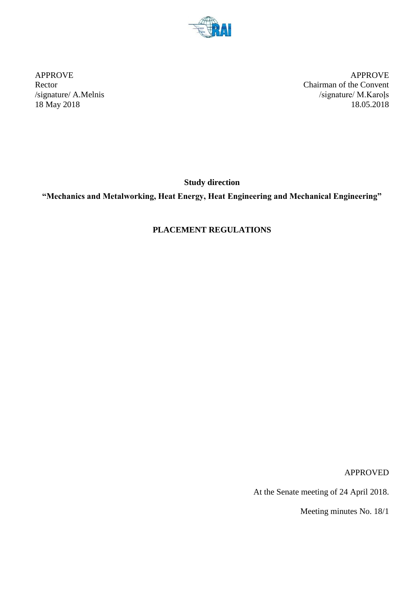

APPROVE APPROVE Rector Chairman of the Convent /signature/ A.Melnis /signature/ M.Karoļs 18 May 2018 18.05.2018

**Study direction**

**"Mechanics and Metalworking, Heat Energy, Heat Engineering and Mechanical Engineering"**

# **PLACEMENT REGULATIONS**

APPROVED

At the Senate meeting of 24 April 2018.

Meeting minutes No. 18/1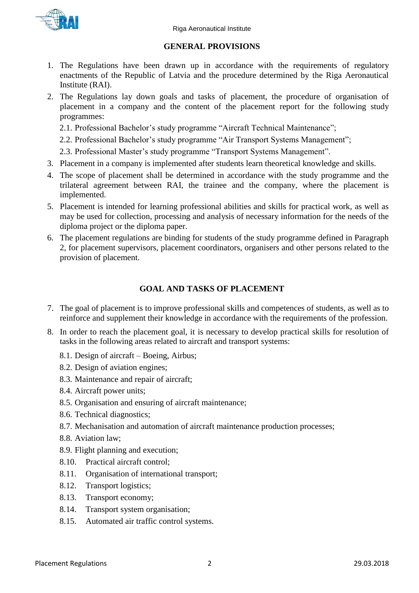

#### **GENERAL PROVISIONS**

- 1. The Regulations have been drawn up in accordance with the requirements of regulatory enactments of the Republic of Latvia and the procedure determined by the Riga Aeronautical Institute (RAI).
- 2. The Regulations lay down goals and tasks of placement, the procedure of organisation of placement in a company and the content of the placement report for the following study programmes:
	- 2.1. Professional Bachelor's study programme "Aircraft Technical Maintenance";
	- 2.2. Professional Bachelor's study programme "Air Transport Systems Management";
	- 2.3. Professional Master's study programme "Transport Systems Management".
- 3. Placement in a company is implemented after students learn theoretical knowledge and skills.
- 4. The scope of placement shall be determined in accordance with the study programme and the trilateral agreement between RAI, the trainee and the company, where the placement is implemented.
- 5. Placement is intended for learning professional abilities and skills for practical work, as well as may be used for collection, processing and analysis of necessary information for the needs of the diploma project or the diploma paper.
- 6. The placement regulations are binding for students of the study programme defined in Paragraph 2, for placement supervisors, placement coordinators, organisers and other persons related to the provision of placement.

#### **GOAL AND TASKS OF PLACEMENT**

- 7. The goal of placement is to improve professional skills and competences of students, as well as to reinforce and supplement their knowledge in accordance with the requirements of the profession.
- 8. In order to reach the placement goal, it is necessary to develop practical skills for resolution of tasks in the following areas related to aircraft and transport systems:
	- 8.1. Design of aircraft Boeing, Airbus;
	- 8.2. Design of aviation engines;
	- 8.3. Maintenance and repair of aircraft;
	- 8.4. Aircraft power units;
	- 8.5. Organisation and ensuring of aircraft maintenance;
	- 8.6. Technical diagnostics;
	- 8.7. Mechanisation and automation of aircraft maintenance production processes;
	- 8.8. Aviation law;
	- 8.9. Flight planning and execution;
	- 8.10. Practical aircraft control;
	- 8.11. Organisation of international transport;
	- 8.12. Transport logistics;
	- 8.13. Transport economy;
	- 8.14. Transport system organisation;
	- 8.15. Automated air traffic control systems.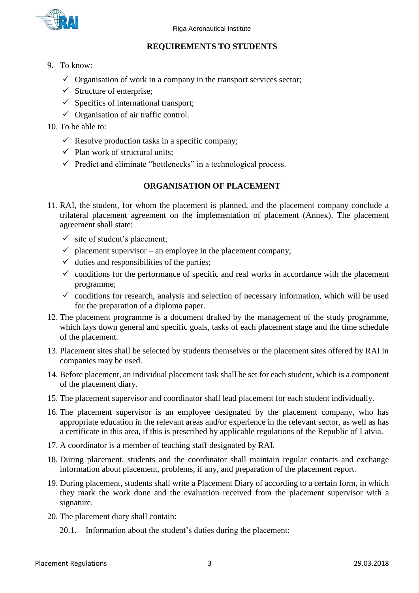

## **REQUIREMENTS TO STUDENTS**

- 9. To know:
	- $\checkmark$  Organisation of work in a company in the transport services sector;
	- $\checkmark$  Structure of enterprise;
	- $\checkmark$  Specifics of international transport;
	- $\checkmark$  Organisation of air traffic control.
- 10. To be able to:
	- $\checkmark$  Resolve production tasks in a specific company;
	- $\checkmark$  Plan work of structural units:
	- $\checkmark$  Predict and eliminate "bottlenecks" in a technological process.

## **ORGANISATION OF PLACEMENT**

- 11. RAI, the student, for whom the placement is planned, and the placement company conclude a trilateral placement agreement on the implementation of placement (Annex). The placement agreement shall state:
	- $\checkmark$  site of student's placement;
	- $\checkmark$  placement supervisor an employee in the placement company;
	- $\checkmark$  duties and responsibilities of the parties:
	- $\checkmark$  conditions for the performance of specific and real works in accordance with the placement programme;
	- $\checkmark$  conditions for research, analysis and selection of necessary information, which will be used for the preparation of a diploma paper.
- 12. The placement programme is a document drafted by the management of the study programme, which lays down general and specific goals, tasks of each placement stage and the time schedule of the placement.
- 13. Placement sites shall be selected by students themselves or the placement sites offered by RAI in companies may be used.
- 14. Before placement, an individual placement task shall be set for each student, which is a component of the placement diary.
- 15. The placement supervisor and coordinator shall lead placement for each student individually.
- 16. The placement supervisor is an employee designated by the placement company, who has appropriate education in the relevant areas and/or experience in the relevant sector, as well as has a certificate in this area, if this is prescribed by applicable regulations of the Republic of Latvia.
- 17. A coordinator is a member of teaching staff designated by RAI.
- 18. During placement, students and the coordinator shall maintain regular contacts and exchange information about placement, problems, if any, and preparation of the placement report.
- 19. During placement, students shall write a Placement Diary of according to a certain form, in which they mark the work done and the evaluation received from the placement supervisor with a signature.
- 20. The placement diary shall contain:
	- 20.1. Information about the student's duties during the placement;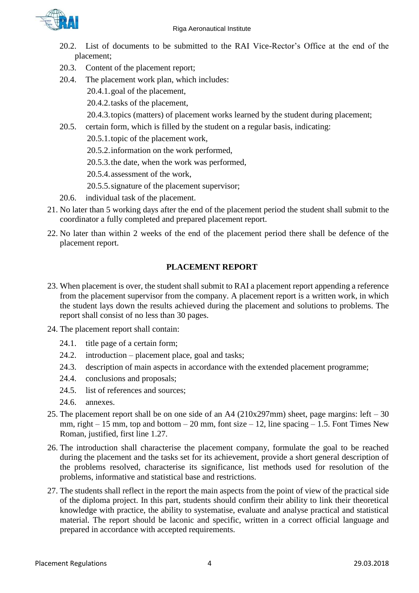

- 20.2. List of documents to be submitted to the RAI Vice-Rector's Office at the end of the placement;
- 20.3. Content of the placement report;
- 20.4. The placement work plan, which includes:
	- 20.4.1.goal of the placement,
	- 20.4.2.tasks of the placement,
	- 20.4.3.topics (matters) of placement works learned by the student during placement;
- 20.5. certain form, which is filled by the student on a regular basis, indicating:
	- 20.5.1.topic of the placement work,
	- 20.5.2.information on the work performed,
	- 20.5.3.the date, when the work was performed,
	- 20.5.4.assessment of the work,
	- 20.5.5.signature of the placement supervisor;
- 20.6. individual task of the placement.
- 21. No later than 5 working days after the end of the placement period the student shall submit to the coordinator a fully completed and prepared placement report.
- 22. No later than within 2 weeks of the end of the placement period there shall be defence of the placement report.

## **PLACEMENT REPORT**

- 23. When placement is over, the student shall submit to RAI a placement report appending a reference from the placement supervisor from the company. A placement report is a written work, in which the student lays down the results achieved during the placement and solutions to problems. The report shall consist of no less than 30 pages.
- 24. The placement report shall contain:
	- 24.1. title page of a certain form;
	- 24.2. introduction placement place, goal and tasks;
	- 24.3. description of main aspects in accordance with the extended placement programme;
	- 24.4. conclusions and proposals;
	- 24.5. list of references and sources;
	- 24.6. annexes.
- 25. The placement report shall be on one side of an A4 ( $210x297mm$ ) sheet, page margins: left 30 mm, right  $-15$  mm, top and bottom  $-20$  mm, font size  $-12$ , line spacing  $-1.5$ . Font Times New Roman, justified, first line 1.27.
- 26. The introduction shall characterise the placement company, formulate the goal to be reached during the placement and the tasks set for its achievement, provide a short general description of the problems resolved, characterise its significance, list methods used for resolution of the problems, informative and statistical base and restrictions.
- 27. The students shall reflect in the report the main aspects from the point of view of the practical side of the diploma project. In this part, students should confirm their ability to link their theoretical knowledge with practice, the ability to systematise, evaluate and analyse practical and statistical material. The report should be laconic and specific, written in a correct official language and prepared in accordance with accepted requirements.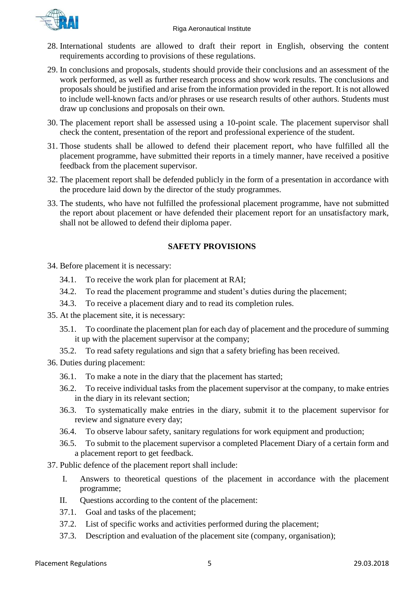- 28. International students are allowed to draft their report in English, observing the content requirements according to provisions of these regulations.
- 29. In conclusions and proposals, students should provide their conclusions and an assessment of the work performed, as well as further research process and show work results. The conclusions and proposals should be justified and arise from the information provided in the report. It is not allowed to include well-known facts and/or phrases or use research results of other authors. Students must draw up conclusions and proposals on their own.
- 30. The placement report shall be assessed using a 10-point scale. The placement supervisor shall check the content, presentation of the report and professional experience of the student.
- 31. Those students shall be allowed to defend their placement report, who have fulfilled all the placement programme, have submitted their reports in a timely manner, have received a positive feedback from the placement supervisor.
- 32. The placement report shall be defended publicly in the form of a presentation in accordance with the procedure laid down by the director of the study programmes.
- 33. The students, who have not fulfilled the professional placement programme, have not submitted the report about placement or have defended their placement report for an unsatisfactory mark, shall not be allowed to defend their diploma paper.

## **SAFETY PROVISIONS**

- 34. Before placement it is necessary:
	- 34.1. To receive the work plan for placement at RAI;
	- 34.2. To read the placement programme and student's duties during the placement;
	- 34.3. To receive a placement diary and to read its completion rules.
- 35. At the placement site, it is necessary:
	- 35.1. To coordinate the placement plan for each day of placement and the procedure of summing it up with the placement supervisor at the company;
	- 35.2. To read safety regulations and sign that a safety briefing has been received.
- 36. Duties during placement:
	- 36.1. To make a note in the diary that the placement has started;
	- 36.2. To receive individual tasks from the placement supervisor at the company, to make entries in the diary in its relevant section;
	- 36.3. To systematically make entries in the diary, submit it to the placement supervisor for review and signature every day;
	- 36.4. To observe labour safety, sanitary regulations for work equipment and production;
	- 36.5. To submit to the placement supervisor a completed Placement Diary of a certain form and a placement report to get feedback.
- 37. Public defence of the placement report shall include:
	- I. Answers to theoretical questions of the placement in accordance with the placement programme;
	- II. Questions according to the content of the placement:
	- 37.1. Goal and tasks of the placement;
	- 37.2. List of specific works and activities performed during the placement;
	- 37.3. Description and evaluation of the placement site (company, organisation);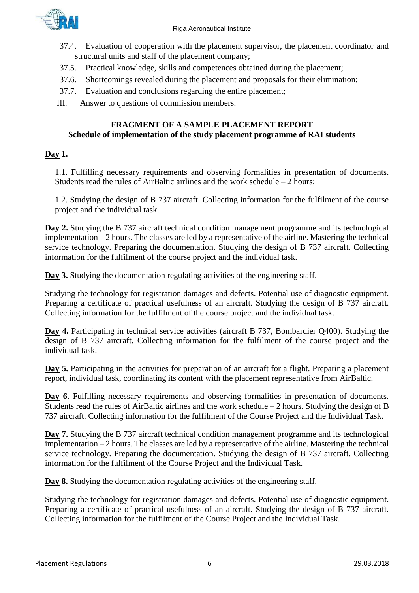

- 37.4. Evaluation of cooperation with the placement supervisor, the placement coordinator and structural units and staff of the placement company;
- 37.5. Practical knowledge, skills and competences obtained during the placement;
- 37.6. Shortcomings revealed during the placement and proposals for their elimination;
- 37.7. Evaluation and conclusions regarding the entire placement;
- III. Answer to questions of commission members.

#### **FRAGMENT OF A SAMPLE PLACEMENT REPORT Schedule of implementation of the study placement programme of RAI students**

#### **Day 1.**

1.1. Fulfilling necessary requirements and observing formalities in presentation of documents. Students read the rules of AirBaltic airlines and the work schedule  $-2$  hours;

1.2. Studying the design of B 737 aircraft. Collecting information for the fulfilment of the course project and the individual task.

**Day 2.** Studying the B 737 aircraft technical condition management programme and its technological implementation – 2 hours. The classes are led by a representative of the airline. Mastering the technical service technology. Preparing the documentation. Studying the design of B 737 aircraft. Collecting information for the fulfilment of the course project and the individual task.

**Day 3.** Studying the documentation regulating activities of the engineering staff.

Studying the technology for registration damages and defects. Potential use of diagnostic equipment. Preparing a certificate of practical usefulness of an aircraft. Studying the design of B 737 aircraft. Collecting information for the fulfilment of the course project and the individual task.

**Day 4.** Participating in technical service activities (aircraft B 737, Bombardier Q400). Studying the design of B 737 aircraft. Collecting information for the fulfilment of the course project and the individual task.

**Day 5.** Participating in the activities for preparation of an aircraft for a flight. Preparing a placement report, individual task, coordinating its content with the placement representative from AirBaltic.

**Day 6.** Fulfilling necessary requirements and observing formalities in presentation of documents. Students read the rules of AirBaltic airlines and the work schedule – 2 hours. Studying the design of B 737 aircraft. Collecting information for the fulfilment of the Course Project and the Individual Task.

**Day 7.** Studying the B 737 aircraft technical condition management programme and its technological implementation – 2 hours. The classes are led by a representative of the airline. Mastering the technical service technology. Preparing the documentation. Studying the design of B 737 aircraft. Collecting information for the fulfilment of the Course Project and the Individual Task.

**Day 8.** Studying the documentation regulating activities of the engineering staff.

Studying the technology for registration damages and defects. Potential use of diagnostic equipment. Preparing a certificate of practical usefulness of an aircraft. Studying the design of B 737 aircraft. Collecting information for the fulfilment of the Course Project and the Individual Task.